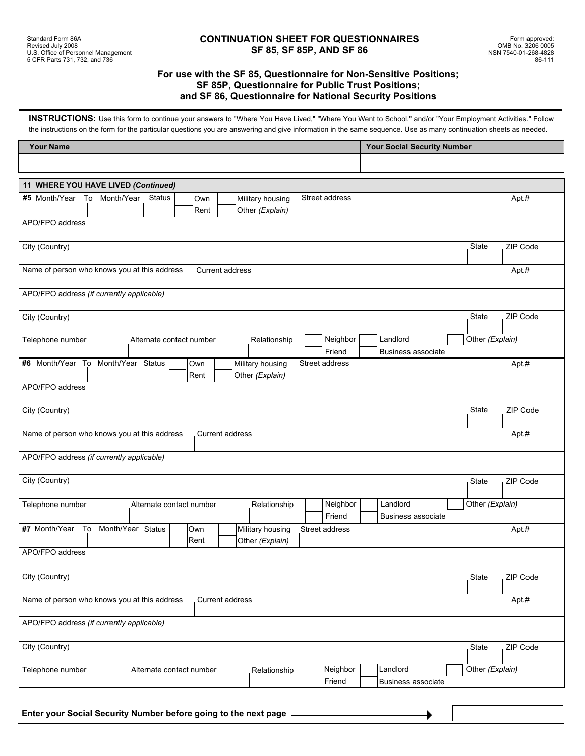### **For use with the SF 85, Questionnaire for Non-Sensitive Positions; SF 85P, Questionnaire for Public Trust Positions; and SF 86, Questionnaire for National Security Positions**

**INSTRUCTIONS:** Use this form to continue your answers to "Where You Have Lived," "Where You Went to School," and/or "Your Employment Activities." Follow the instructions on the form for the particular questions you are answering and give information in the same sequence. Use as many continuation sheets as needed.

| <b>Your Name</b>                                                                                                     | <b>Your Social Security Number</b>                       |  |  |  |  |  |  |
|----------------------------------------------------------------------------------------------------------------------|----------------------------------------------------------|--|--|--|--|--|--|
|                                                                                                                      |                                                          |  |  |  |  |  |  |
| 11 WHERE YOU HAVE LIVED (Continued)                                                                                  |                                                          |  |  |  |  |  |  |
| #5 Month/Year To Month/Year<br><b>Status</b><br>Street address<br>Own<br>Military housing<br>Rent<br>Other (Explain) | Apt #                                                    |  |  |  |  |  |  |
| APO/FPO address                                                                                                      |                                                          |  |  |  |  |  |  |
| City (Country)                                                                                                       | State<br>ZIP Code                                        |  |  |  |  |  |  |
| Name of person who knows you at this address<br><b>Current address</b>                                               | Apt.#                                                    |  |  |  |  |  |  |
| APO/FPO address (if currently applicable)                                                                            |                                                          |  |  |  |  |  |  |
| City (Country)                                                                                                       | ZIP Code<br>State                                        |  |  |  |  |  |  |
| Neighbor<br>Telephone number<br>Relationship<br>Alternate contact number<br>Friend                                   | Landlord<br>Other (Explain)<br><b>Business associate</b> |  |  |  |  |  |  |
| #6 Month/Year To Month/Year Status<br>Military housing<br>Street address<br>Own<br>Other (Explain)<br>Rent           | Apt.#                                                    |  |  |  |  |  |  |
| APO/FPO address                                                                                                      |                                                          |  |  |  |  |  |  |
| City (Country)                                                                                                       | State<br>ZIP Code                                        |  |  |  |  |  |  |
| Name of person who knows you at this address<br>Current address                                                      | Apt #                                                    |  |  |  |  |  |  |
| APO/FPO address (if currently applicable)                                                                            |                                                          |  |  |  |  |  |  |
| City (Country)                                                                                                       | State<br>ZIP Code                                        |  |  |  |  |  |  |
| Neighbor<br>Telephone number<br>Alternate contact number<br>Relationship<br>Friend                                   | Landlord<br>Other (Explain)<br><b>Business associate</b> |  |  |  |  |  |  |
| #7 Month/Year To Month/Year Status<br>Own<br>Military housing<br>Street address<br>Rent<br>Other (Explain)           | Apt.#                                                    |  |  |  |  |  |  |
| APO/FPO address                                                                                                      |                                                          |  |  |  |  |  |  |
| City (Country)                                                                                                       | ZIP Code<br>State                                        |  |  |  |  |  |  |
| Name of person who knows you at this address<br>Current address                                                      | Apt.#                                                    |  |  |  |  |  |  |
| APO/FPO address (if currently applicable)                                                                            |                                                          |  |  |  |  |  |  |
| City (Country)                                                                                                       | ZIP Code<br>State                                        |  |  |  |  |  |  |
| Neighbor<br>Telephone number<br>Alternate contact number<br>Relationship<br>Friend                                   | Landlord<br>Other (Explain)<br>Business associate        |  |  |  |  |  |  |
|                                                                                                                      |                                                          |  |  |  |  |  |  |

**Enter your Social Security Number before going to the next page**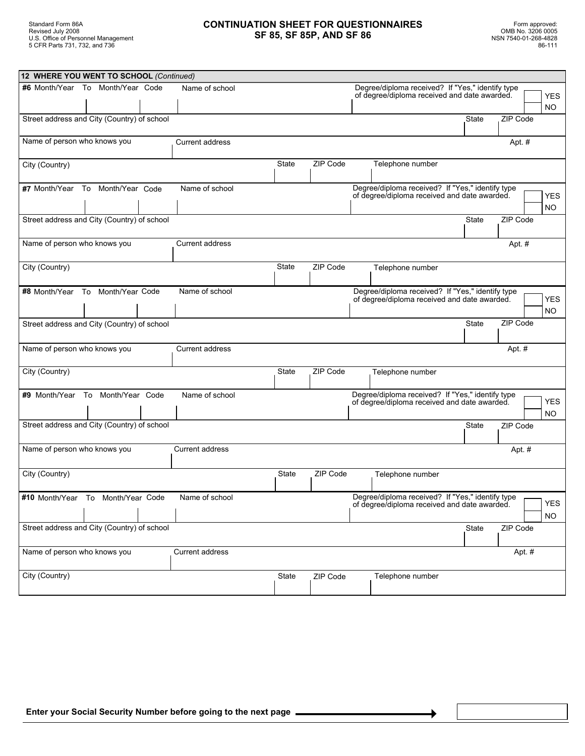## **CONTINUATION SHEET FOR QUESTIONNAIRES SF 85, SF 85P, AND SF 86**

| 12 WHERE YOU WENT TO SCHOOL (Continued)            |  |  |                        |              |                                                  |  |                                                                                                  |              |          |                   |
|----------------------------------------------------|--|--|------------------------|--------------|--------------------------------------------------|--|--------------------------------------------------------------------------------------------------|--------------|----------|-------------------|
| #6 Month/Year To Month/Year Code<br>Name of school |  |  |                        |              | Degree/diploma received? If "Yes," identify type |  |                                                                                                  |              |          |                   |
|                                                    |  |  |                        |              |                                                  |  | of degree/diploma received and date awarded.                                                     |              |          | <b>YES</b>        |
|                                                    |  |  |                        |              |                                                  |  |                                                                                                  |              |          | NO.               |
| Street address and City (Country) of school        |  |  |                        |              |                                                  |  |                                                                                                  | <b>State</b> | ZIP Code |                   |
| Name of person who knows you                       |  |  | Current address        |              |                                                  |  |                                                                                                  |              | Apt. #   |                   |
| City (Country)                                     |  |  |                        | <b>State</b> | ZIP Code                                         |  | Telephone number                                                                                 |              |          |                   |
| #7 Month/Year To Month/Year Code                   |  |  | Name of school         |              |                                                  |  | Degree/diploma received? If "Yes," identify type<br>of degree/diploma received and date awarded. |              |          | YES<br>NO.        |
| Street address and City (Country) of school        |  |  |                        |              |                                                  |  |                                                                                                  | State        | ZIP Code |                   |
| Name of person who knows you                       |  |  | <b>Current address</b> |              |                                                  |  |                                                                                                  |              | Apt. #   |                   |
| City (Country)                                     |  |  |                        | State        | ZIP Code                                         |  | Telephone number                                                                                 |              |          |                   |
| #8 Month/Year To Month/Year Code                   |  |  | Name of school         |              |                                                  |  | Degree/diploma received? If "Yes," identify type<br>of degree/diploma received and date awarded. |              |          | <b>YES</b><br>NO. |
| Street address and City (Country) of school        |  |  |                        |              |                                                  |  |                                                                                                  | State        | ZIP Code |                   |
| Name of person who knows you                       |  |  | <b>Current address</b> |              |                                                  |  |                                                                                                  |              | Apt. #   |                   |
| City (Country)                                     |  |  |                        | State        | ZIP Code                                         |  | Telephone number                                                                                 |              |          |                   |
| #9 Month/Year To Month/Year Code                   |  |  | Name of school         |              |                                                  |  | Degree/diploma received? If "Yes," identify type<br>of degree/diploma received and date awarded. |              |          | <b>YES</b><br>NO. |
| Street address and City (Country) of school        |  |  |                        |              |                                                  |  |                                                                                                  | <b>State</b> | ZIP Code |                   |
| Name of person who knows you                       |  |  | Current address        |              |                                                  |  |                                                                                                  |              | Apt. #   |                   |
| City (Country)                                     |  |  |                        | State        | ZIP Code                                         |  | Telephone number                                                                                 |              |          |                   |
| #10 Month/Year To Month/Year Code                  |  |  | Name of school         |              |                                                  |  | Degree/diploma received? If "Yes," identify type<br>of degree/diploma received and date awarded. |              |          | YES<br><b>NO</b>  |
| Street address and City (Country) of school        |  |  |                        |              |                                                  |  |                                                                                                  | State        | ZIP Code |                   |
| Name of person who knows you                       |  |  | Current address        |              |                                                  |  |                                                                                                  |              | Apt. #   |                   |
| City (Country)                                     |  |  |                        | State        | ZIP Code                                         |  | Telephone number                                                                                 |              |          |                   |
|                                                    |  |  |                        |              |                                                  |  |                                                                                                  |              |          |                   |

٠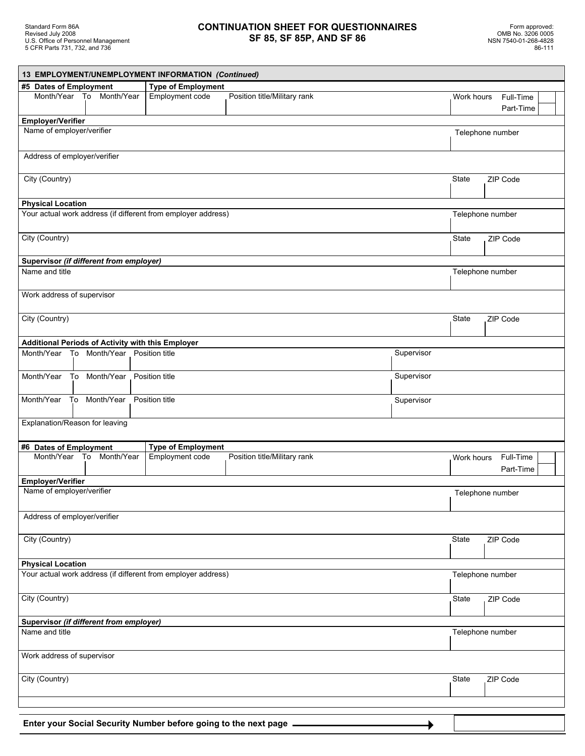# **CONTINUATION SHEET FOR QUESTIONNAIRES SF 85, SF 85P, AND SF 86**

|                                         |                          | 13 EMPLOYMENT/UNEMPLOYMENT INFORMATION (Continued)                  |                              |            |              |                        |
|-----------------------------------------|--------------------------|---------------------------------------------------------------------|------------------------------|------------|--------------|------------------------|
| #5 Dates of Employment                  |                          | <b>Type of Employment</b>                                           |                              |            |              |                        |
|                                         | Month/Year To Month/Year | Employment code                                                     | Position title/Military rank |            | Work hours   | Full-Time<br>Part-Time |
| <b>Employer/Verifier</b>                |                          |                                                                     |                              |            |              |                        |
| Name of employer/verifier               |                          |                                                                     |                              |            |              | Telephone number       |
| Address of employer/verifier            |                          |                                                                     |                              |            |              |                        |
| City (Country)                          |                          |                                                                     |                              |            | State        | ZIP Code               |
| <b>Physical Location</b>                |                          |                                                                     |                              |            |              |                        |
|                                         |                          | Your actual work address (if different from employer address)       |                              |            |              | Telephone number       |
| City (Country)                          |                          |                                                                     |                              |            | State        | ZIP Code               |
| Supervisor (if different from employer) |                          |                                                                     |                              |            |              |                        |
| Name and title                          |                          |                                                                     |                              |            |              | Telephone number       |
| Work address of supervisor              |                          |                                                                     |                              |            |              |                        |
| City (Country)                          |                          |                                                                     |                              |            | State        | ZIP Code               |
|                                         |                          |                                                                     |                              |            |              |                        |
| Month/Year To Month/Year                |                          | Additional Periods of Activity with this Employer<br>Position title |                              | Supervisor |              |                        |
| Month/Year To Month/Year                |                          | Position title                                                      |                              | Supervisor |              |                        |
| Month/Year To Month/Year                |                          | Position title                                                      |                              | Supervisor |              |                        |
| Explanation/Reason for leaving          |                          |                                                                     |                              |            |              |                        |
| #6 Dates of Employment                  |                          | <b>Type of Employment</b>                                           |                              |            |              |                        |
|                                         | Month/Year To Month/Year | Employment code                                                     | Position title/Military rank |            | Work hours   | Full-Time<br>Part-Time |
| <b>Employer/Verifier</b>                |                          |                                                                     |                              |            |              |                        |
| Name of employer/verifier               |                          |                                                                     |                              |            |              | Telephone number       |
| Address of employer/verifier            |                          |                                                                     |                              |            |              |                        |
| City (Country)                          |                          |                                                                     |                              |            | State        | ZIP Code               |
| <b>Physical Location</b>                |                          |                                                                     |                              |            |              |                        |
|                                         |                          | Your actual work address (if different from employer address)       |                              |            |              | Telephone number       |
| City (Country)                          |                          |                                                                     |                              |            | <b>State</b> | ZIP Code               |
| Supervisor (if different from employer) |                          |                                                                     |                              |            |              |                        |
| Name and title                          |                          |                                                                     |                              |            |              | Telephone number       |
| Work address of supervisor              |                          |                                                                     |                              |            |              |                        |
| City (Country)                          |                          |                                                                     |                              |            | State        | ZIP Code               |
|                                         |                          |                                                                     |                              |            |              |                        |
|                                         |                          |                                                                     |                              |            |              |                        |
|                                         |                          | Enter your Social Security Number before going to the next page.    |                              |            |              |                        |